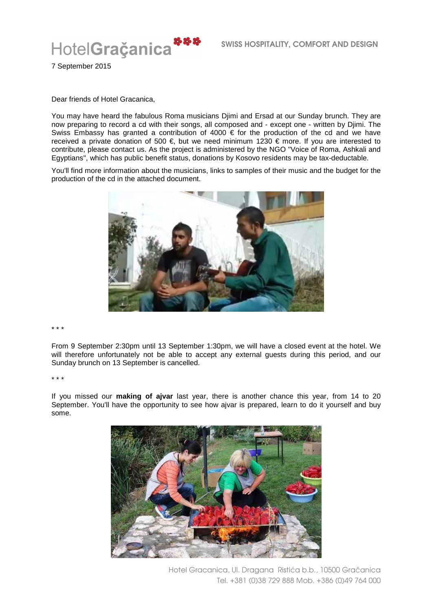

7 September 2015

Dear friends of Hotel Gracanica,

You may have heard the fabulous Roma musicians Djimi and Ersad at our Sunday brunch. They are now preparing to record a cd with their songs, all composed and - except one - written by Djimi. The Swiss Embassy has granted a contribution of 4000  $\epsilon$  for the production of the cd and we have received a private donation of 500 €, but we need minimum 1230 € more. If you are interested to contribute, please contact us. As the project is administered by the NGO "Voice of Roma, Ashkali and Egyptians", which has public benefit status, donations by Kosovo residents may be tax-deductable.

You'll find more information about the musicians, links to samples of their music and the budget for the production of the cd in the attached document.



\* \* \*

From 9 September 2:30pm until 13 September 1:30pm, we will have a closed event at the hotel. We will therefore unfortunately not be able to accept any external guests during this period, and our Sunday brunch on 13 September is cancelled.

\* \* \*

If you missed our **making of ajvar** last year, there is another chance this year, from 14 to 20 September. You'll have the opportunity to see how aivar is prepared, learn to do it yourself and buy some.



Hotel Gracanica, Ul. Dragana Ristića b.b., 10500 Gračanica Tel. +381 (0)38 729 888 Mob. +386 (0)49 764 000